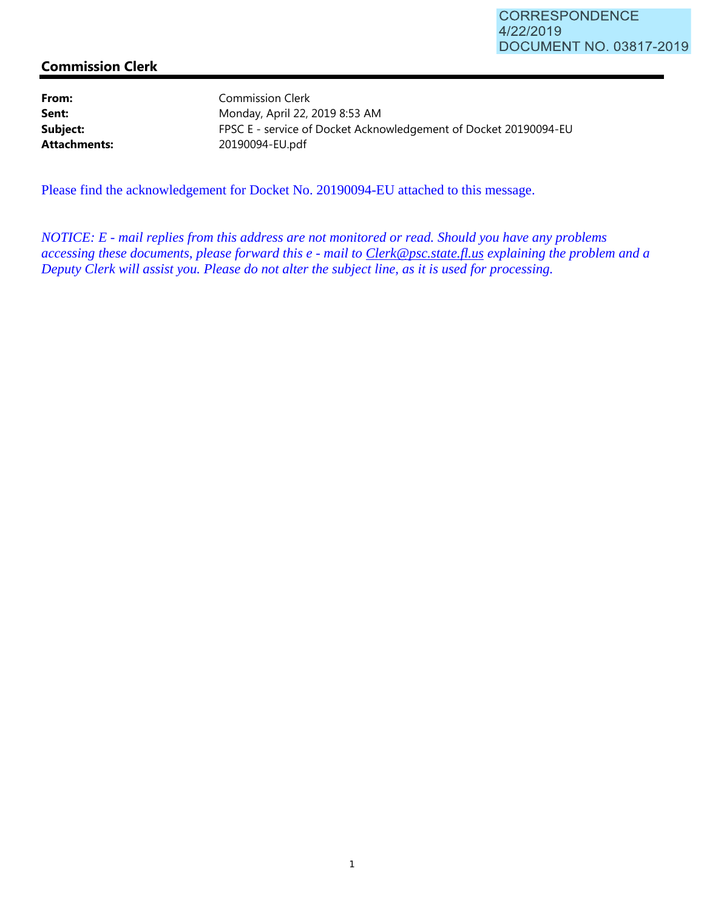## **Commission Clerk**

From: Commission Clerk **Sent:** Monday, April 22, 2019 8:53 AM **Subject:** FPSC E - service of Docket Acknowledgement of Docket 20190094-EU **Attachments:** 20190094-EU.pdf

Please find the acknowledgement for Docket No. 20190094-EU attached to this message.

*NOTICE: E - mail replies from this address are not monitored or read. Should you have any problems accessing these documents, please forward this e - mail to Clerk@psc.state.fl.us explaining the problem and a Deputy Clerk will assist you. Please do not alter the subject line, as it is used for processing.*